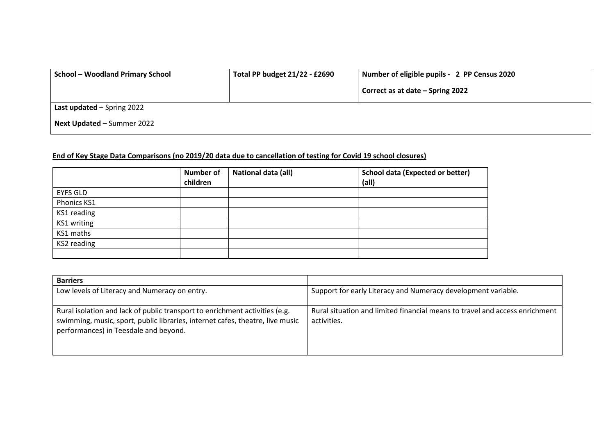| <b>School - Woodland Primary School</b> | Total PP budget 21/22 - £2690 | Number of eligible pupils - 2 PP Census 2020 |
|-----------------------------------------|-------------------------------|----------------------------------------------|
|                                         |                               | Correct as at date - Spring 2022             |
| Last updated $-$ Spring 2022            |                               |                                              |
| Next Updated - Summer 2022              |                               |                                              |

## **End of Key Stage Data Comparisons (no 2019/20 data due to cancellation of testing for Covid 19 school closures)**

|                 | <b>Number of</b><br>children | National data (all) | <b>School data (Expected or better)</b><br>(al) |
|-----------------|------------------------------|---------------------|-------------------------------------------------|
| <b>EYFS GLD</b> |                              |                     |                                                 |
| Phonics KS1     |                              |                     |                                                 |
| KS1 reading     |                              |                     |                                                 |
| KS1 writing     |                              |                     |                                                 |
| KS1 maths       |                              |                     |                                                 |
| KS2 reading     |                              |                     |                                                 |
|                 |                              |                     |                                                 |

| <b>Barriers</b>                                                                                                                                                                                       |                                                                                            |
|-------------------------------------------------------------------------------------------------------------------------------------------------------------------------------------------------------|--------------------------------------------------------------------------------------------|
| Low levels of Literacy and Numeracy on entry.                                                                                                                                                         | Support for early Literacy and Numeracy development variable.                              |
| Rural isolation and lack of public transport to enrichment activities (e.g.<br>swimming, music, sport, public libraries, internet cafes, theatre, live music<br>performances) in Teesdale and beyond. | Rural situation and limited financial means to travel and access enrichment<br>activities. |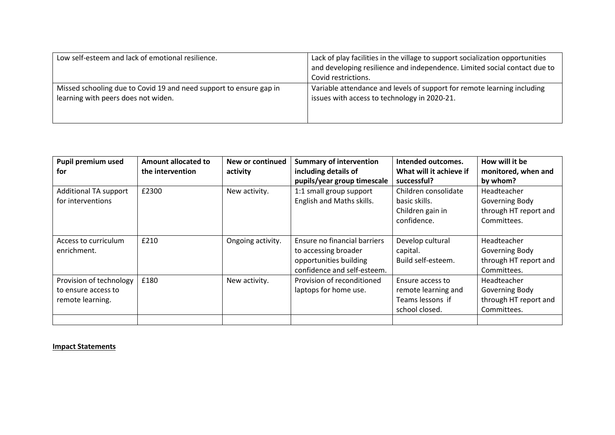| Low self-esteem and lack of emotional resilience.                  | Lack of play facilities in the village to support socialization opportunities |
|--------------------------------------------------------------------|-------------------------------------------------------------------------------|
|                                                                    | and developing resilience and independence. Limited social contact due to     |
|                                                                    | Covid restrictions.                                                           |
| Missed schooling due to Covid 19 and need support to ensure gap in | Variable attendance and levels of support for remote learning including       |
| learning with peers does not widen.                                | issues with access to technology in 2020-21.                                  |
|                                                                    |                                                                               |
|                                                                    |                                                                               |

| Pupil premium used      | Amount allocated to | New or continued  | <b>Summary of intervention</b> | Intended outcomes.      | How will it be        |
|-------------------------|---------------------|-------------------|--------------------------------|-------------------------|-----------------------|
| for                     | the intervention    | activity          | including details of           | What will it achieve if | monitored, when and   |
|                         |                     |                   | pupils/year group timescale    | successful?             | by whom?              |
| Additional TA support   | £2300               | New activity.     | 1:1 small group support        | Children consolidate    | Headteacher           |
| for interventions       |                     |                   | English and Maths skills.      | basic skills.           | Governing Body        |
|                         |                     |                   |                                | Children gain in        | through HT report and |
|                         |                     |                   |                                | confidence.             | Committees.           |
|                         |                     |                   |                                |                         |                       |
| Access to curriculum    | £210                | Ongoing activity. | Ensure no financial barriers   | Develop cultural        | Headteacher           |
| enrichment.             |                     |                   | to accessing broader           | capital.                | Governing Body        |
|                         |                     |                   | opportunities building         | Build self-esteem.      | through HT report and |
|                         |                     |                   | confidence and self-esteem.    |                         | Committees.           |
| Provision of technology | £180                | New activity.     | Provision of reconditioned     | Ensure access to        | Headteacher           |
| to ensure access to     |                     |                   | laptops for home use.          | remote learning and     | Governing Body        |
| remote learning.        |                     |                   |                                | Teams lessons if        | through HT report and |
|                         |                     |                   |                                | school closed.          | Committees.           |
|                         |                     |                   |                                |                         |                       |

## **Impact Statements**